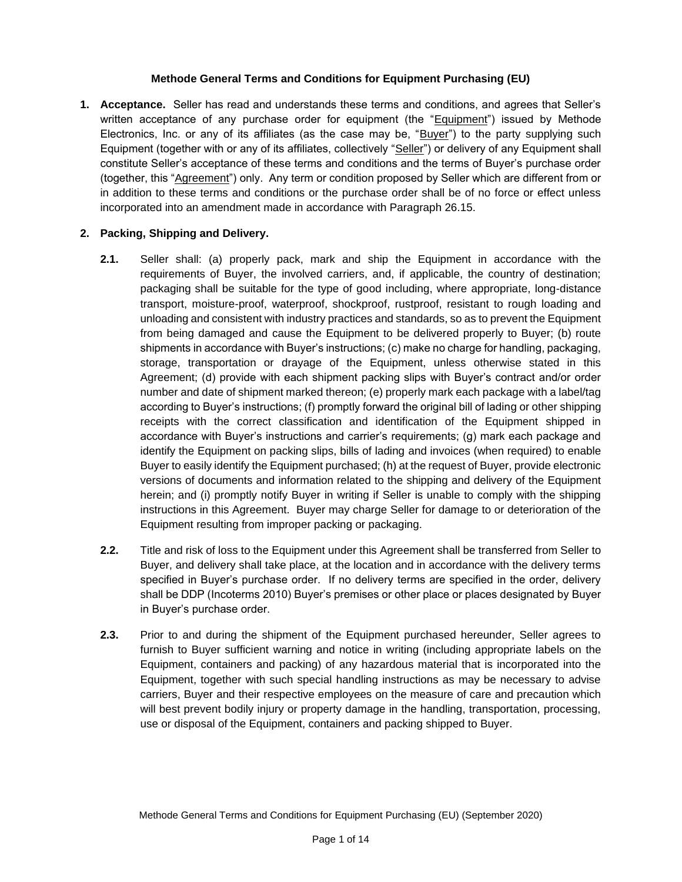#### **Methode General Terms and Conditions for Equipment Purchasing (EU)**

**1. Acceptance.** Seller has read and understands these terms and conditions, and agrees that Seller's written acceptance of any purchase order for equipment (the "Equipment") issued by Methode Electronics, Inc. or any of its affiliates (as the case may be, "Buyer") to the party supplying such Equipment (together with or any of its affiliates, collectively "Seller") or delivery of any Equipment shall constitute Seller's acceptance of these terms and conditions and the terms of Buyer's purchase order (together, this "Agreement") only. Any term or condition proposed by Seller which are different from or in addition to these terms and conditions or the purchase order shall be of no force or effect unless incorporated into an amendment made in accordance with Paragraph 26.15.

### **2. Packing, Shipping and Delivery.**

- **2.1.** Seller shall: (a) properly pack, mark and ship the Equipment in accordance with the requirements of Buyer, the involved carriers, and, if applicable, the country of destination; packaging shall be suitable for the type of good including, where appropriate, long-distance transport, moisture-proof, waterproof, shockproof, rustproof, resistant to rough loading and unloading and consistent with industry practices and standards, so as to prevent the Equipment from being damaged and cause the Equipment to be delivered properly to Buyer; (b) route shipments in accordance with Buyer's instructions; (c) make no charge for handling, packaging, storage, transportation or drayage of the Equipment, unless otherwise stated in this Agreement; (d) provide with each shipment packing slips with Buyer's contract and/or order number and date of shipment marked thereon; (e) properly mark each package with a label/tag according to Buyer's instructions; (f) promptly forward the original bill of lading or other shipping receipts with the correct classification and identification of the Equipment shipped in accordance with Buyer's instructions and carrier's requirements; (g) mark each package and identify the Equipment on packing slips, bills of lading and invoices (when required) to enable Buyer to easily identify the Equipment purchased; (h) at the request of Buyer, provide electronic versions of documents and information related to the shipping and delivery of the Equipment herein; and (i) promptly notify Buyer in writing if Seller is unable to comply with the shipping instructions in this Agreement. Buyer may charge Seller for damage to or deterioration of the Equipment resulting from improper packing or packaging.
- **2.2.** Title and risk of loss to the Equipment under this Agreement shall be transferred from Seller to Buyer, and delivery shall take place, at the location and in accordance with the delivery terms specified in Buyer's purchase order. If no delivery terms are specified in the order, delivery shall be DDP (Incoterms 2010) Buyer's premises or other place or places designated by Buyer in Buyer's purchase order.
- **2.3.** Prior to and during the shipment of the Equipment purchased hereunder, Seller agrees to furnish to Buyer sufficient warning and notice in writing (including appropriate labels on the Equipment, containers and packing) of any hazardous material that is incorporated into the Equipment, together with such special handling instructions as may be necessary to advise carriers, Buyer and their respective employees on the measure of care and precaution which will best prevent bodily injury or property damage in the handling, transportation, processing, use or disposal of the Equipment, containers and packing shipped to Buyer.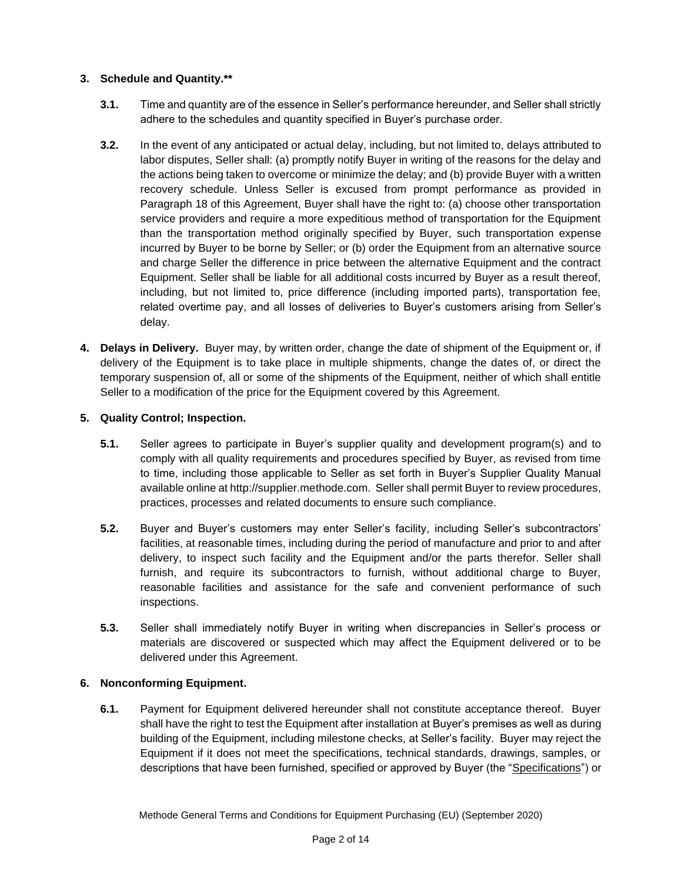### **3. Schedule and Quantity.\*\***

- **3.1.** Time and quantity are of the essence in Seller's performance hereunder, and Seller shall strictly adhere to the schedules and quantity specified in Buyer's purchase order.
- **3.2.** In the event of any anticipated or actual delay, including, but not limited to, delays attributed to labor disputes, Seller shall: (a) promptly notify Buyer in writing of the reasons for the delay and the actions being taken to overcome or minimize the delay; and (b) provide Buyer with a written recovery schedule. Unless Seller is excused from prompt performance as provided in Paragraph 18 of this Agreement, Buyer shall have the right to: (a) choose other transportation service providers and require a more expeditious method of transportation for the Equipment than the transportation method originally specified by Buyer, such transportation expense incurred by Buyer to be borne by Seller; or (b) order the Equipment from an alternative source and charge Seller the difference in price between the alternative Equipment and the contract Equipment. Seller shall be liable for all additional costs incurred by Buyer as a result thereof, including, but not limited to, price difference (including imported parts), transportation fee, related overtime pay, and all losses of deliveries to Buyer's customers arising from Seller's delay.
- **4. Delays in Delivery.** Buyer may, by written order, change the date of shipment of the Equipment or, if delivery of the Equipment is to take place in multiple shipments, change the dates of, or direct the temporary suspension of, all or some of the shipments of the Equipment, neither of which shall entitle Seller to a modification of the price for the Equipment covered by this Agreement.

### **5. Quality Control; Inspection.**

- **5.1.** Seller agrees to participate in Buyer's supplier quality and development program(s) and to comply with all quality requirements and procedures specified by Buyer, as revised from time to time, including those applicable to Seller as set forth in Buyer's Supplier Quality Manual available online at http://supplier.methode.com. Seller shall permit Buyer to review procedures, practices, processes and related documents to ensure such compliance.
- **5.2.** Buyer and Buyer's customers may enter Seller's facility, including Seller's subcontractors' facilities, at reasonable times, including during the period of manufacture and prior to and after delivery, to inspect such facility and the Equipment and/or the parts therefor. Seller shall furnish, and require its subcontractors to furnish, without additional charge to Buyer, reasonable facilities and assistance for the safe and convenient performance of such inspections.
- **5.3.** Seller shall immediately notify Buyer in writing when discrepancies in Seller's process or materials are discovered or suspected which may affect the Equipment delivered or to be delivered under this Agreement.

# **6. Nonconforming Equipment.**

**6.1.** Payment for Equipment delivered hereunder shall not constitute acceptance thereof. Buyer shall have the right to test the Equipment after installation at Buyer's premises as well as during building of the Equipment, including milestone checks, at Seller's facility. Buyer may reject the Equipment if it does not meet the specifications, technical standards, drawings, samples, or descriptions that have been furnished, specified or approved by Buyer (the "Specifications") or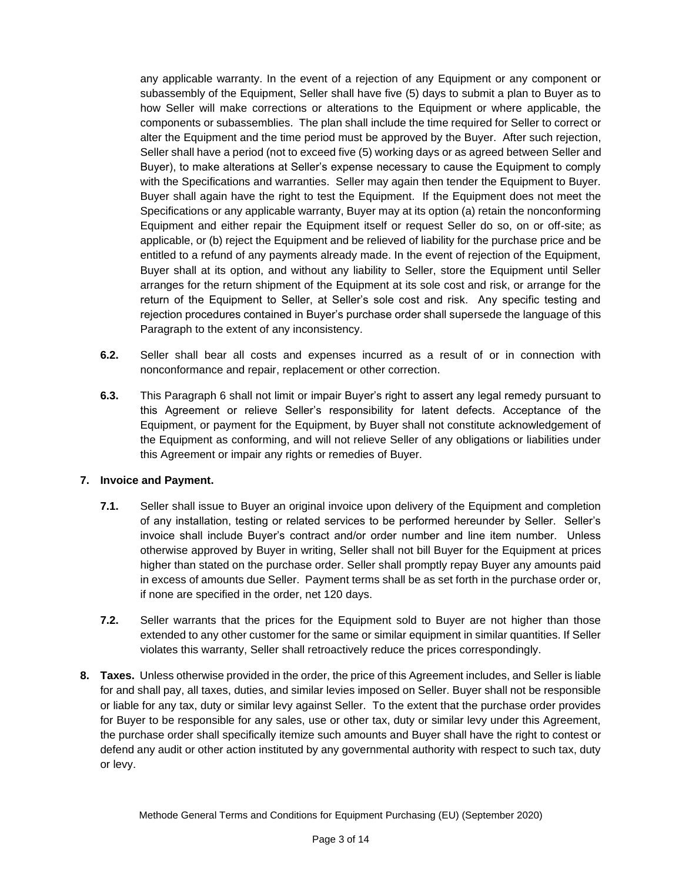any applicable warranty. In the event of a rejection of any Equipment or any component or subassembly of the Equipment, Seller shall have five (5) days to submit a plan to Buyer as to how Seller will make corrections or alterations to the Equipment or where applicable, the components or subassemblies. The plan shall include the time required for Seller to correct or alter the Equipment and the time period must be approved by the Buyer. After such rejection, Seller shall have a period (not to exceed five (5) working days or as agreed between Seller and Buyer), to make alterations at Seller's expense necessary to cause the Equipment to comply with the Specifications and warranties. Seller may again then tender the Equipment to Buyer. Buyer shall again have the right to test the Equipment. If the Equipment does not meet the Specifications or any applicable warranty, Buyer may at its option (a) retain the nonconforming Equipment and either repair the Equipment itself or request Seller do so, on or off-site; as applicable, or (b) reject the Equipment and be relieved of liability for the purchase price and be entitled to a refund of any payments already made. In the event of rejection of the Equipment, Buyer shall at its option, and without any liability to Seller, store the Equipment until Seller arranges for the return shipment of the Equipment at its sole cost and risk, or arrange for the return of the Equipment to Seller, at Seller's sole cost and risk. Any specific testing and rejection procedures contained in Buyer's purchase order shall supersede the language of this Paragraph to the extent of any inconsistency.

- **6.2.** Seller shall bear all costs and expenses incurred as a result of or in connection with nonconformance and repair, replacement or other correction.
- **6.3.** This Paragraph 6 shall not limit or impair Buyer's right to assert any legal remedy pursuant to this Agreement or relieve Seller's responsibility for latent defects. Acceptance of the Equipment, or payment for the Equipment, by Buyer shall not constitute acknowledgement of the Equipment as conforming, and will not relieve Seller of any obligations or liabilities under this Agreement or impair any rights or remedies of Buyer.

### **7. Invoice and Payment.**

- **7.1.** Seller shall issue to Buyer an original invoice upon delivery of the Equipment and completion of any installation, testing or related services to be performed hereunder by Seller. Seller's invoice shall include Buyer's contract and/or order number and line item number. Unless otherwise approved by Buyer in writing, Seller shall not bill Buyer for the Equipment at prices higher than stated on the purchase order. Seller shall promptly repay Buyer any amounts paid in excess of amounts due Seller. Payment terms shall be as set forth in the purchase order or, if none are specified in the order, net 120 days.
- **7.2.** Seller warrants that the prices for the Equipment sold to Buyer are not higher than those extended to any other customer for the same or similar equipment in similar quantities. If Seller violates this warranty, Seller shall retroactively reduce the prices correspondingly.
- **8. Taxes.** Unless otherwise provided in the order, the price of this Agreement includes, and Seller is liable for and shall pay, all taxes, duties, and similar levies imposed on Seller. Buyer shall not be responsible or liable for any tax, duty or similar levy against Seller. To the extent that the purchase order provides for Buyer to be responsible for any sales, use or other tax, duty or similar levy under this Agreement, the purchase order shall specifically itemize such amounts and Buyer shall have the right to contest or defend any audit or other action instituted by any governmental authority with respect to such tax, duty or levy.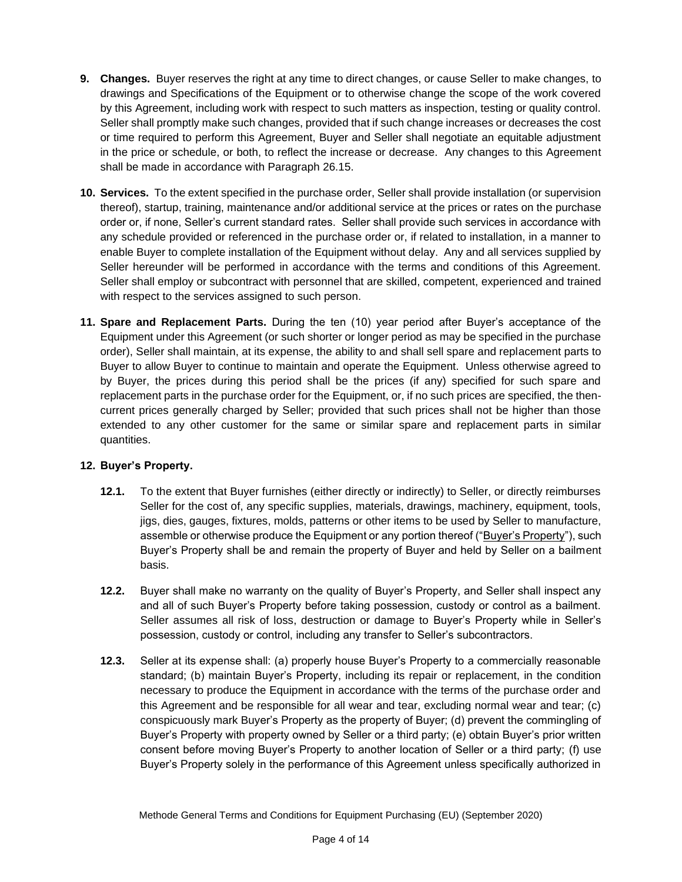- **9. Changes.** Buyer reserves the right at any time to direct changes, or cause Seller to make changes, to drawings and Specifications of the Equipment or to otherwise change the scope of the work covered by this Agreement, including work with respect to such matters as inspection, testing or quality control. Seller shall promptly make such changes, provided that if such change increases or decreases the cost or time required to perform this Agreement, Buyer and Seller shall negotiate an equitable adjustment in the price or schedule, or both, to reflect the increase or decrease. Any changes to this Agreement shall be made in accordance with Paragraph 26.15.
- **10. Services.** To the extent specified in the purchase order, Seller shall provide installation (or supervision thereof), startup, training, maintenance and/or additional service at the prices or rates on the purchase order or, if none, Seller's current standard rates. Seller shall provide such services in accordance with any schedule provided or referenced in the purchase order or, if related to installation, in a manner to enable Buyer to complete installation of the Equipment without delay. Any and all services supplied by Seller hereunder will be performed in accordance with the terms and conditions of this Agreement. Seller shall employ or subcontract with personnel that are skilled, competent, experienced and trained with respect to the services assigned to such person.
- **11. Spare and Replacement Parts.** During the ten (10) year period after Buyer's acceptance of the Equipment under this Agreement (or such shorter or longer period as may be specified in the purchase order), Seller shall maintain, at its expense, the ability to and shall sell spare and replacement parts to Buyer to allow Buyer to continue to maintain and operate the Equipment. Unless otherwise agreed to by Buyer, the prices during this period shall be the prices (if any) specified for such spare and replacement parts in the purchase order for the Equipment, or, if no such prices are specified, the thencurrent prices generally charged by Seller; provided that such prices shall not be higher than those extended to any other customer for the same or similar spare and replacement parts in similar quantities.

### **12. Buyer's Property.**

- **12.1.** To the extent that Buyer furnishes (either directly or indirectly) to Seller, or directly reimburses Seller for the cost of, any specific supplies, materials, drawings, machinery, equipment, tools, jigs, dies, gauges, fixtures, molds, patterns or other items to be used by Seller to manufacture, assemble or otherwise produce the Equipment or any portion thereof ("Buyer's Property"), such Buyer's Property shall be and remain the property of Buyer and held by Seller on a bailment basis.
- **12.2.** Buyer shall make no warranty on the quality of Buyer's Property, and Seller shall inspect any and all of such Buyer's Property before taking possession, custody or control as a bailment. Seller assumes all risk of loss, destruction or damage to Buyer's Property while in Seller's possession, custody or control, including any transfer to Seller's subcontractors.
- **12.3.** Seller at its expense shall: (a) properly house Buyer's Property to a commercially reasonable standard; (b) maintain Buyer's Property, including its repair or replacement, in the condition necessary to produce the Equipment in accordance with the terms of the purchase order and this Agreement and be responsible for all wear and tear, excluding normal wear and tear; (c) conspicuously mark Buyer's Property as the property of Buyer; (d) prevent the commingling of Buyer's Property with property owned by Seller or a third party; (e) obtain Buyer's prior written consent before moving Buyer's Property to another location of Seller or a third party; (f) use Buyer's Property solely in the performance of this Agreement unless specifically authorized in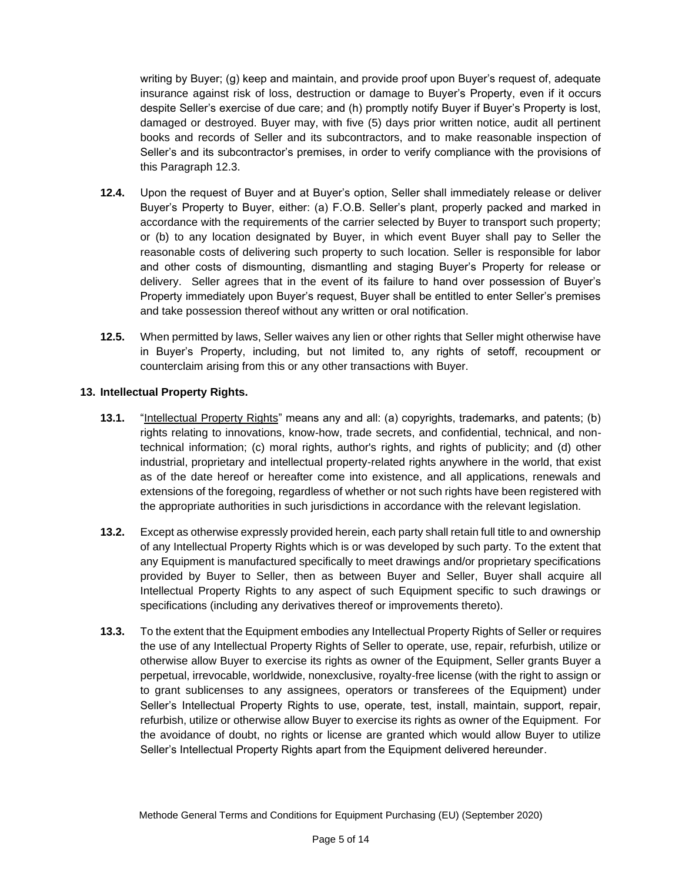writing by Buyer; (g) keep and maintain, and provide proof upon Buyer's request of, adequate insurance against risk of loss, destruction or damage to Buyer's Property, even if it occurs despite Seller's exercise of due care; and (h) promptly notify Buyer if Buyer's Property is lost, damaged or destroyed. Buyer may, with five (5) days prior written notice, audit all pertinent books and records of Seller and its subcontractors, and to make reasonable inspection of Seller's and its subcontractor's premises, in order to verify compliance with the provisions of this Paragraph 12.3.

- **12.4.** Upon the request of Buyer and at Buyer's option, Seller shall immediately release or deliver Buyer's Property to Buyer, either: (a) F.O.B. Seller's plant, properly packed and marked in accordance with the requirements of the carrier selected by Buyer to transport such property; or (b) to any location designated by Buyer, in which event Buyer shall pay to Seller the reasonable costs of delivering such property to such location. Seller is responsible for labor and other costs of dismounting, dismantling and staging Buyer's Property for release or delivery. Seller agrees that in the event of its failure to hand over possession of Buyer's Property immediately upon Buyer's request, Buyer shall be entitled to enter Seller's premises and take possession thereof without any written or oral notification.
- **12.5.** When permitted by laws, Seller waives any lien or other rights that Seller might otherwise have in Buyer's Property, including, but not limited to, any rights of setoff, recoupment or counterclaim arising from this or any other transactions with Buyer.

### **13. Intellectual Property Rights.**

- **13.1.** "Intellectual Property Rights" means any and all: (a) copyrights, trademarks, and patents; (b) rights relating to innovations, know-how, trade secrets, and confidential, technical, and nontechnical information; (c) moral rights, author's rights, and rights of publicity; and (d) other industrial, proprietary and intellectual property-related rights anywhere in the world, that exist as of the date hereof or hereafter come into existence, and all applications, renewals and extensions of the foregoing, regardless of whether or not such rights have been registered with the appropriate authorities in such jurisdictions in accordance with the relevant legislation.
- **13.2.** Except as otherwise expressly provided herein, each party shall retain full title to and ownership of any Intellectual Property Rights which is or was developed by such party. To the extent that any Equipment is manufactured specifically to meet drawings and/or proprietary specifications provided by Buyer to Seller, then as between Buyer and Seller, Buyer shall acquire all Intellectual Property Rights to any aspect of such Equipment specific to such drawings or specifications (including any derivatives thereof or improvements thereto).
- **13.3.** To the extent that the Equipment embodies any Intellectual Property Rights of Seller or requires the use of any Intellectual Property Rights of Seller to operate, use, repair, refurbish, utilize or otherwise allow Buyer to exercise its rights as owner of the Equipment, Seller grants Buyer a perpetual, irrevocable, worldwide, nonexclusive, royalty-free license (with the right to assign or to grant sublicenses to any assignees, operators or transferees of the Equipment) under Seller's Intellectual Property Rights to use, operate, test, install, maintain, support, repair, refurbish, utilize or otherwise allow Buyer to exercise its rights as owner of the Equipment. For the avoidance of doubt, no rights or license are granted which would allow Buyer to utilize Seller's Intellectual Property Rights apart from the Equipment delivered hereunder.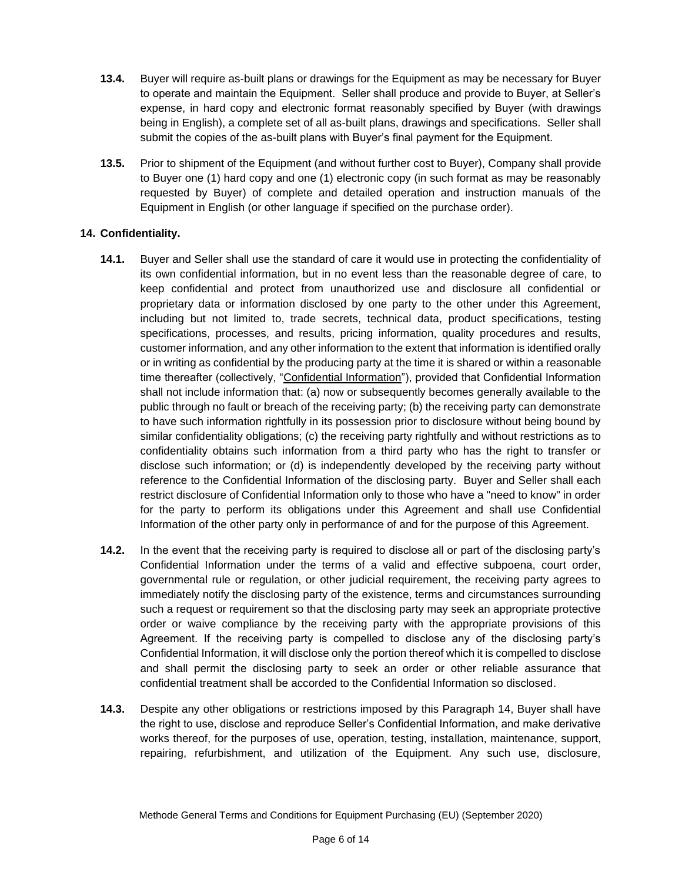- **13.4.** Buyer will require as-built plans or drawings for the Equipment as may be necessary for Buyer to operate and maintain the Equipment. Seller shall produce and provide to Buyer, at Seller's expense, in hard copy and electronic format reasonably specified by Buyer (with drawings being in English), a complete set of all as-built plans, drawings and specifications. Seller shall submit the copies of the as-built plans with Buyer's final payment for the Equipment.
- **13.5.** Prior to shipment of the Equipment (and without further cost to Buyer), Company shall provide to Buyer one (1) hard copy and one (1) electronic copy (in such format as may be reasonably requested by Buyer) of complete and detailed operation and instruction manuals of the Equipment in English (or other language if specified on the purchase order).

# **14. Confidentiality.**

- **14.1.** Buyer and Seller shall use the standard of care it would use in protecting the confidentiality of its own confidential information, but in no event less than the reasonable degree of care, to keep confidential and protect from unauthorized use and disclosure all confidential or proprietary data or information disclosed by one party to the other under this Agreement, including but not limited to, trade secrets, technical data, product specifications, testing specifications, processes, and results, pricing information, quality procedures and results, customer information, and any other information to the extent that information is identified orally or in writing as confidential by the producing party at the time it is shared or within a reasonable time thereafter (collectively, "Confidential Information"), provided that Confidential Information shall not include information that: (a) now or subsequently becomes generally available to the public through no fault or breach of the receiving party; (b) the receiving party can demonstrate to have such information rightfully in its possession prior to disclosure without being bound by similar confidentiality obligations; (c) the receiving party rightfully and without restrictions as to confidentiality obtains such information from a third party who has the right to transfer or disclose such information; or (d) is independently developed by the receiving party without reference to the Confidential Information of the disclosing party. Buyer and Seller shall each restrict disclosure of Confidential Information only to those who have a "need to know" in order for the party to perform its obligations under this Agreement and shall use Confidential Information of the other party only in performance of and for the purpose of this Agreement.
- **14.2.** In the event that the receiving party is required to disclose all or part of the disclosing party's Confidential Information under the terms of a valid and effective subpoena, court order, governmental rule or regulation, or other judicial requirement, the receiving party agrees to immediately notify the disclosing party of the existence, terms and circumstances surrounding such a request or requirement so that the disclosing party may seek an appropriate protective order or waive compliance by the receiving party with the appropriate provisions of this Agreement. If the receiving party is compelled to disclose any of the disclosing party's Confidential Information, it will disclose only the portion thereof which it is compelled to disclose and shall permit the disclosing party to seek an order or other reliable assurance that confidential treatment shall be accorded to the Confidential Information so disclosed.
- **14.3.** Despite any other obligations or restrictions imposed by this Paragraph 14, Buyer shall have the right to use, disclose and reproduce Seller's Confidential Information, and make derivative works thereof, for the purposes of use, operation, testing, installation, maintenance, support, repairing, refurbishment, and utilization of the Equipment. Any such use, disclosure,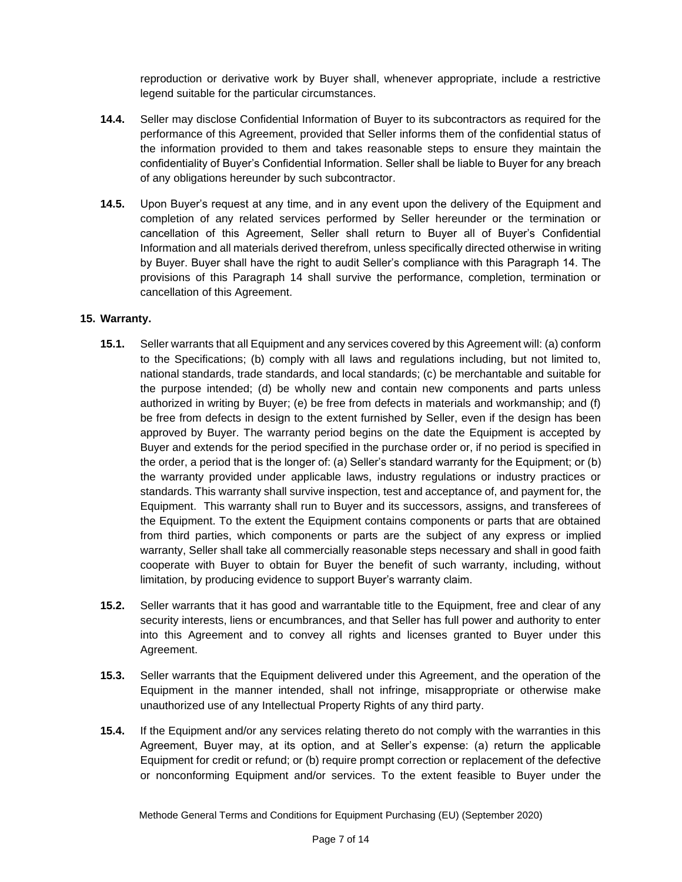reproduction or derivative work by Buyer shall, whenever appropriate, include a restrictive legend suitable for the particular circumstances.

- **14.4.** Seller may disclose Confidential Information of Buyer to its subcontractors as required for the performance of this Agreement, provided that Seller informs them of the confidential status of the information provided to them and takes reasonable steps to ensure they maintain the confidentiality of Buyer's Confidential Information. Seller shall be liable to Buyer for any breach of any obligations hereunder by such subcontractor.
- **14.5.** Upon Buyer's request at any time, and in any event upon the delivery of the Equipment and completion of any related services performed by Seller hereunder or the termination or cancellation of this Agreement, Seller shall return to Buyer all of Buyer's Confidential Information and all materials derived therefrom, unless specifically directed otherwise in writing by Buyer. Buyer shall have the right to audit Seller's compliance with this Paragraph 14. The provisions of this Paragraph 14 shall survive the performance, completion, termination or cancellation of this Agreement.

### **15. Warranty.**

- **15.1.** Seller warrants that all Equipment and any services covered by this Agreement will: (a) conform to the Specifications; (b) comply with all laws and regulations including, but not limited to, national standards, trade standards, and local standards; (c) be merchantable and suitable for the purpose intended; (d) be wholly new and contain new components and parts unless authorized in writing by Buyer; (e) be free from defects in materials and workmanship; and (f) be free from defects in design to the extent furnished by Seller, even if the design has been approved by Buyer. The warranty period begins on the date the Equipment is accepted by Buyer and extends for the period specified in the purchase order or, if no period is specified in the order, a period that is the longer of: (a) Seller's standard warranty for the Equipment; or (b) the warranty provided under applicable laws, industry regulations or industry practices or standards. This warranty shall survive inspection, test and acceptance of, and payment for, the Equipment. This warranty shall run to Buyer and its successors, assigns, and transferees of the Equipment. To the extent the Equipment contains components or parts that are obtained from third parties, which components or parts are the subject of any express or implied warranty, Seller shall take all commercially reasonable steps necessary and shall in good faith cooperate with Buyer to obtain for Buyer the benefit of such warranty, including, without limitation, by producing evidence to support Buyer's warranty claim.
- **15.2.** Seller warrants that it has good and warrantable title to the Equipment, free and clear of any security interests, liens or encumbrances, and that Seller has full power and authority to enter into this Agreement and to convey all rights and licenses granted to Buyer under this Agreement.
- **15.3.** Seller warrants that the Equipment delivered under this Agreement, and the operation of the Equipment in the manner intended, shall not infringe, misappropriate or otherwise make unauthorized use of any Intellectual Property Rights of any third party.
- **15.4.** If the Equipment and/or any services relating thereto do not comply with the warranties in this Agreement, Buyer may, at its option, and at Seller's expense: (a) return the applicable Equipment for credit or refund; or (b) require prompt correction or replacement of the defective or nonconforming Equipment and/or services. To the extent feasible to Buyer under the

Methode General Terms and Conditions for Equipment Purchasing (EU) (September 2020)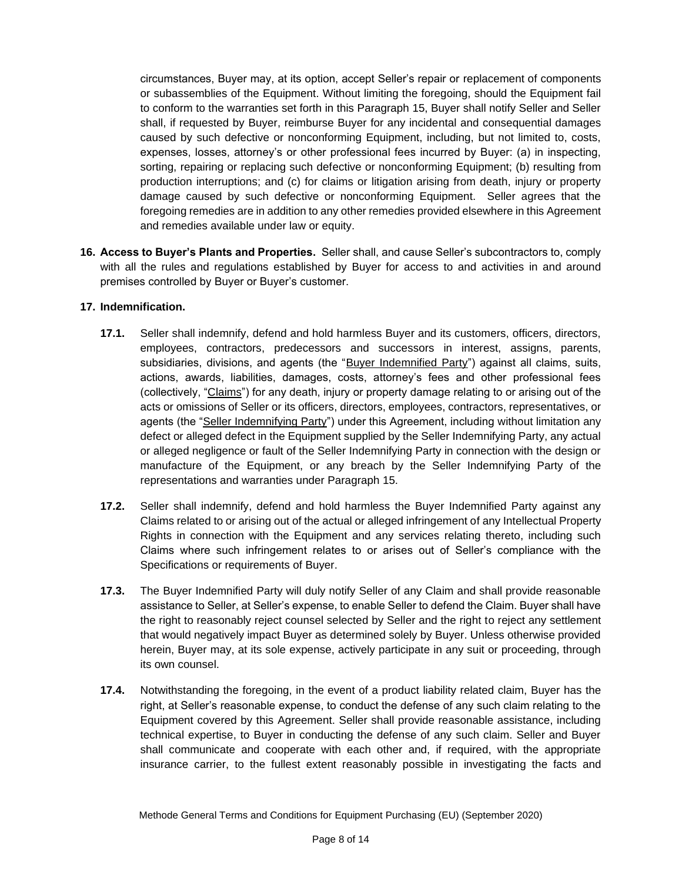circumstances, Buyer may, at its option, accept Seller's repair or replacement of components or subassemblies of the Equipment. Without limiting the foregoing, should the Equipment fail to conform to the warranties set forth in this Paragraph 15, Buyer shall notify Seller and Seller shall, if requested by Buyer, reimburse Buyer for any incidental and consequential damages caused by such defective or nonconforming Equipment, including, but not limited to, costs, expenses, losses, attorney's or other professional fees incurred by Buyer: (a) in inspecting, sorting, repairing or replacing such defective or nonconforming Equipment; (b) resulting from production interruptions; and (c) for claims or litigation arising from death, injury or property damage caused by such defective or nonconforming Equipment. Seller agrees that the foregoing remedies are in addition to any other remedies provided elsewhere in this Agreement and remedies available under law or equity.

**16. Access to Buyer's Plants and Properties.** Seller shall, and cause Seller's subcontractors to, comply with all the rules and regulations established by Buyer for access to and activities in and around premises controlled by Buyer or Buyer's customer.

### **17. Indemnification.**

- **17.1.** Seller shall indemnify, defend and hold harmless Buyer and its customers, officers, directors, employees, contractors, predecessors and successors in interest, assigns, parents, subsidiaries, divisions, and agents (the "Buyer Indemnified Party") against all claims, suits, actions, awards, liabilities, damages, costs, attorney's fees and other professional fees (collectively, "Claims") for any death, injury or property damage relating to or arising out of the acts or omissions of Seller or its officers, directors, employees, contractors, representatives, or agents (the "Seller Indemnifying Party") under this Agreement, including without limitation any defect or alleged defect in the Equipment supplied by the Seller Indemnifying Party, any actual or alleged negligence or fault of the Seller Indemnifying Party in connection with the design or manufacture of the Equipment, or any breach by the Seller Indemnifying Party of the representations and warranties under Paragraph 15.
- **17.2.** Seller shall indemnify, defend and hold harmless the Buyer Indemnified Party against any Claims related to or arising out of the actual or alleged infringement of any Intellectual Property Rights in connection with the Equipment and any services relating thereto, including such Claims where such infringement relates to or arises out of Seller's compliance with the Specifications or requirements of Buyer.
- **17.3.** The Buyer Indemnified Party will duly notify Seller of any Claim and shall provide reasonable assistance to Seller, at Seller's expense, to enable Seller to defend the Claim. Buyer shall have the right to reasonably reject counsel selected by Seller and the right to reject any settlement that would negatively impact Buyer as determined solely by Buyer. Unless otherwise provided herein, Buyer may, at its sole expense, actively participate in any suit or proceeding, through its own counsel.
- **17.4.** Notwithstanding the foregoing, in the event of a product liability related claim, Buyer has the right, at Seller's reasonable expense, to conduct the defense of any such claim relating to the Equipment covered by this Agreement. Seller shall provide reasonable assistance, including technical expertise, to Buyer in conducting the defense of any such claim. Seller and Buyer shall communicate and cooperate with each other and, if required, with the appropriate insurance carrier, to the fullest extent reasonably possible in investigating the facts and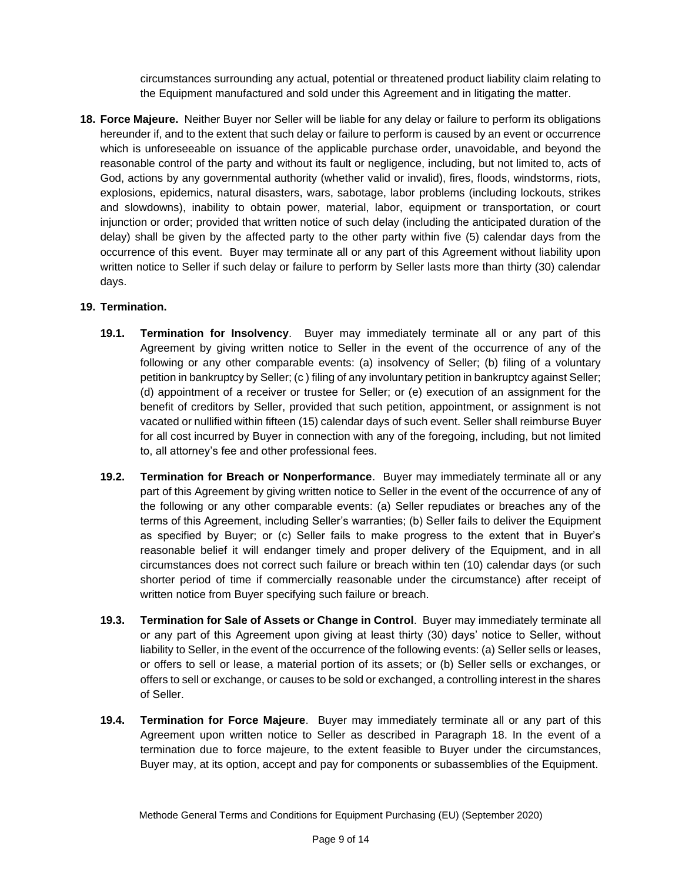circumstances surrounding any actual, potential or threatened product liability claim relating to the Equipment manufactured and sold under this Agreement and in litigating the matter.

**18. Force Majeure.** Neither Buyer nor Seller will be liable for any delay or failure to perform its obligations hereunder if, and to the extent that such delay or failure to perform is caused by an event or occurrence which is unforeseeable on issuance of the applicable purchase order, unavoidable, and beyond the reasonable control of the party and without its fault or negligence, including, but not limited to, acts of God, actions by any governmental authority (whether valid or invalid), fires, floods, windstorms, riots, explosions, epidemics, natural disasters, wars, sabotage, labor problems (including lockouts, strikes and slowdowns), inability to obtain power, material, labor, equipment or transportation, or court injunction or order; provided that written notice of such delay (including the anticipated duration of the delay) shall be given by the affected party to the other party within five (5) calendar days from the occurrence of this event. Buyer may terminate all or any part of this Agreement without liability upon written notice to Seller if such delay or failure to perform by Seller lasts more than thirty (30) calendar days.

### **19. Termination.**

- **19.1. Termination for Insolvency**. Buyer may immediately terminate all or any part of this Agreement by giving written notice to Seller in the event of the occurrence of any of the following or any other comparable events: (a) insolvency of Seller; (b) filing of a voluntary petition in bankruptcy by Seller; (c ) filing of any involuntary petition in bankruptcy against Seller; (d) appointment of a receiver or trustee for Seller; or (e) execution of an assignment for the benefit of creditors by Seller, provided that such petition, appointment, or assignment is not vacated or nullified within fifteen (15) calendar days of such event. Seller shall reimburse Buyer for all cost incurred by Buyer in connection with any of the foregoing, including, but not limited to, all attorney's fee and other professional fees.
- **19.2. Termination for Breach or Nonperformance**. Buyer may immediately terminate all or any part of this Agreement by giving written notice to Seller in the event of the occurrence of any of the following or any other comparable events: (a) Seller repudiates or breaches any of the terms of this Agreement, including Seller's warranties; (b) Seller fails to deliver the Equipment as specified by Buyer; or (c) Seller fails to make progress to the extent that in Buyer's reasonable belief it will endanger timely and proper delivery of the Equipment, and in all circumstances does not correct such failure or breach within ten (10) calendar days (or such shorter period of time if commercially reasonable under the circumstance) after receipt of written notice from Buyer specifying such failure or breach.
- **19.3. Termination for Sale of Assets or Change in Control**. Buyer may immediately terminate all or any part of this Agreement upon giving at least thirty (30) days' notice to Seller, without liability to Seller, in the event of the occurrence of the following events: (a) Seller sells or leases, or offers to sell or lease, a material portion of its assets; or (b) Seller sells or exchanges, or offers to sell or exchange, or causes to be sold or exchanged, a controlling interest in the shares of Seller.
- **19.4. Termination for Force Majeure**. Buyer may immediately terminate all or any part of this Agreement upon written notice to Seller as described in Paragraph 18. In the event of a termination due to force majeure, to the extent feasible to Buyer under the circumstances, Buyer may, at its option, accept and pay for components or subassemblies of the Equipment.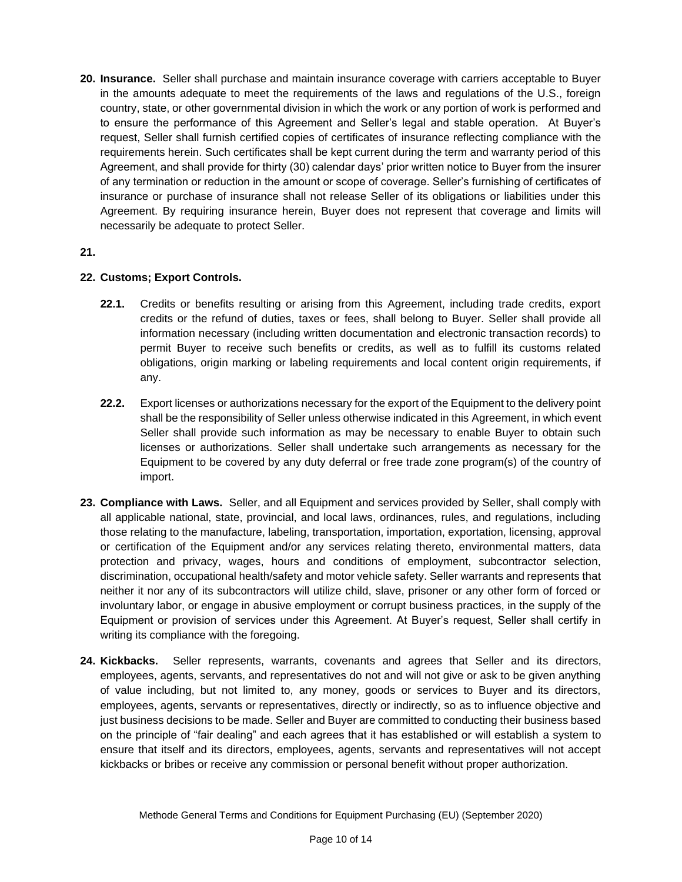**20. Insurance.** Seller shall purchase and maintain insurance coverage with carriers acceptable to Buyer in the amounts adequate to meet the requirements of the laws and regulations of the U.S., foreign country, state, or other governmental division in which the work or any portion of work is performed and to ensure the performance of this Agreement and Seller's legal and stable operation. At Buyer's request, Seller shall furnish certified copies of certificates of insurance reflecting compliance with the requirements herein. Such certificates shall be kept current during the term and warranty period of this Agreement, and shall provide for thirty (30) calendar days' prior written notice to Buyer from the insurer of any termination or reduction in the amount or scope of coverage. Seller's furnishing of certificates of insurance or purchase of insurance shall not release Seller of its obligations or liabilities under this Agreement. By requiring insurance herein, Buyer does not represent that coverage and limits will necessarily be adequate to protect Seller.

### **21.**

# **22. Customs; Export Controls.**

- **22.1.** Credits or benefits resulting or arising from this Agreement, including trade credits, export credits or the refund of duties, taxes or fees, shall belong to Buyer. Seller shall provide all information necessary (including written documentation and electronic transaction records) to permit Buyer to receive such benefits or credits, as well as to fulfill its customs related obligations, origin marking or labeling requirements and local content origin requirements, if any.
- **22.2.** Export licenses or authorizations necessary for the export of the Equipment to the delivery point shall be the responsibility of Seller unless otherwise indicated in this Agreement, in which event Seller shall provide such information as may be necessary to enable Buyer to obtain such licenses or authorizations. Seller shall undertake such arrangements as necessary for the Equipment to be covered by any duty deferral or free trade zone program(s) of the country of import.
- **23. Compliance with Laws.** Seller, and all Equipment and services provided by Seller, shall comply with all applicable national, state, provincial, and local laws, ordinances, rules, and regulations, including those relating to the manufacture, labeling, transportation, importation, exportation, licensing, approval or certification of the Equipment and/or any services relating thereto, environmental matters, data protection and privacy, wages, hours and conditions of employment, subcontractor selection, discrimination, occupational health/safety and motor vehicle safety. Seller warrants and represents that neither it nor any of its subcontractors will utilize child, slave, prisoner or any other form of forced or involuntary labor, or engage in abusive employment or corrupt business practices, in the supply of the Equipment or provision of services under this Agreement. At Buyer's request, Seller shall certify in writing its compliance with the foregoing.
- **24. Kickbacks.** Seller represents, warrants, covenants and agrees that Seller and its directors, employees, agents, servants, and representatives do not and will not give or ask to be given anything of value including, but not limited to, any money, goods or services to Buyer and its directors, employees, agents, servants or representatives, directly or indirectly, so as to influence objective and just business decisions to be made. Seller and Buyer are committed to conducting their business based on the principle of "fair dealing" and each agrees that it has established or will establish a system to ensure that itself and its directors, employees, agents, servants and representatives will not accept kickbacks or bribes or receive any commission or personal benefit without proper authorization.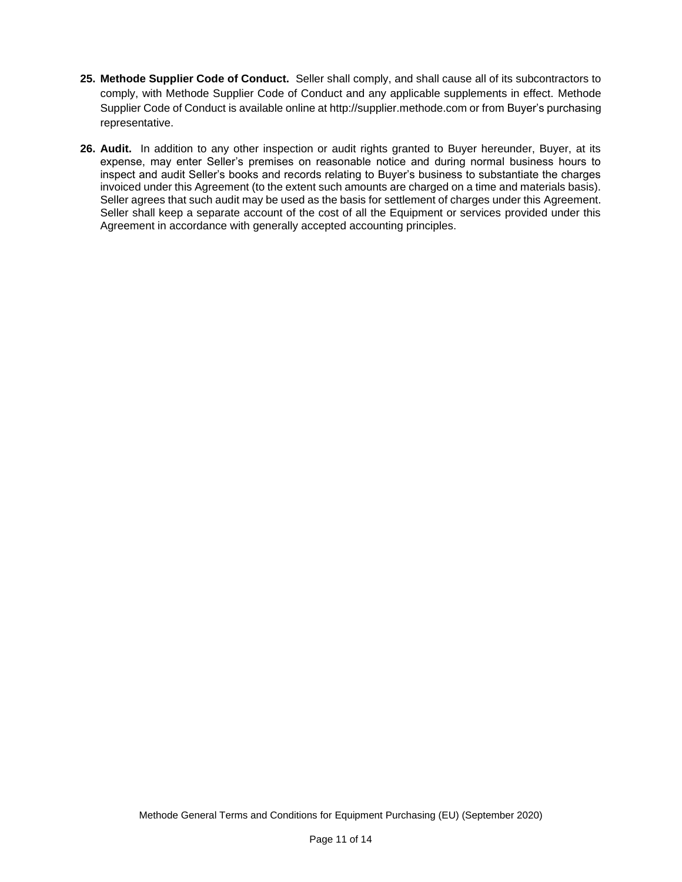- **25. Methode Supplier Code of Conduct.** Seller shall comply, and shall cause all of its subcontractors to comply, with Methode Supplier Code of Conduct and any applicable supplements in effect. Methode Supplier Code of Conduct is available online at http://supplier.methode.com or from Buyer's purchasing representative.
- **26. Audit.** In addition to any other inspection or audit rights granted to Buyer hereunder, Buyer, at its expense, may enter Seller's premises on reasonable notice and during normal business hours to inspect and audit Seller's books and records relating to Buyer's business to substantiate the charges invoiced under this Agreement (to the extent such amounts are charged on a time and materials basis). Seller agrees that such audit may be used as the basis for settlement of charges under this Agreement. Seller shall keep a separate account of the cost of all the Equipment or services provided under this Agreement in accordance with generally accepted accounting principles.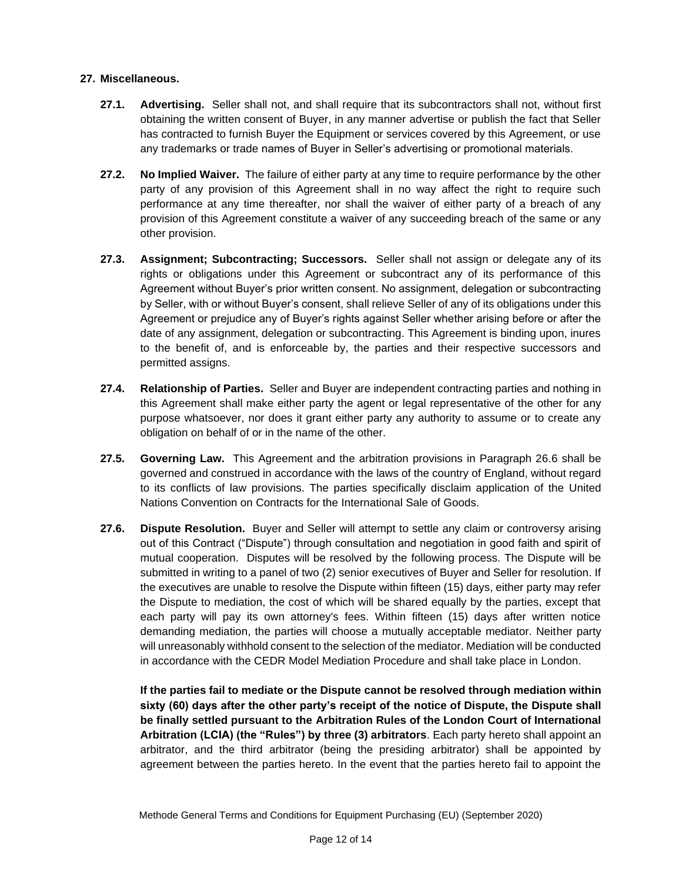#### **27. Miscellaneous.**

- **27.1. Advertising.** Seller shall not, and shall require that its subcontractors shall not, without first obtaining the written consent of Buyer, in any manner advertise or publish the fact that Seller has contracted to furnish Buyer the Equipment or services covered by this Agreement, or use any trademarks or trade names of Buyer in Seller's advertising or promotional materials.
- **27.2. No Implied Waiver.** The failure of either party at any time to require performance by the other party of any provision of this Agreement shall in no way affect the right to require such performance at any time thereafter, nor shall the waiver of either party of a breach of any provision of this Agreement constitute a waiver of any succeeding breach of the same or any other provision.
- **27.3. Assignment; Subcontracting; Successors.** Seller shall not assign or delegate any of its rights or obligations under this Agreement or subcontract any of its performance of this Agreement without Buyer's prior written consent. No assignment, delegation or subcontracting by Seller, with or without Buyer's consent, shall relieve Seller of any of its obligations under this Agreement or prejudice any of Buyer's rights against Seller whether arising before or after the date of any assignment, delegation or subcontracting. This Agreement is binding upon, inures to the benefit of, and is enforceable by, the parties and their respective successors and permitted assigns.
- **27.4. Relationship of Parties.** Seller and Buyer are independent contracting parties and nothing in this Agreement shall make either party the agent or legal representative of the other for any purpose whatsoever, nor does it grant either party any authority to assume or to create any obligation on behalf of or in the name of the other.
- **27.5. Governing Law.** This Agreement and the arbitration provisions in Paragraph 26.6 shall be governed and construed in accordance with the laws of the country of England, without regard to its conflicts of law provisions. The parties specifically disclaim application of the United Nations Convention on Contracts for the International Sale of Goods.
- **27.6. Dispute Resolution.** Buyer and Seller will attempt to settle any claim or controversy arising out of this Contract ("Dispute") through consultation and negotiation in good faith and spirit of mutual cooperation. Disputes will be resolved by the following process. The Dispute will be submitted in writing to a panel of two (2) senior executives of Buyer and Seller for resolution. If the executives are unable to resolve the Dispute within fifteen (15) days, either party may refer the Dispute to mediation, the cost of which will be shared equally by the parties, except that each party will pay its own attorney's fees. Within fifteen (15) days after written notice demanding mediation, the parties will choose a mutually acceptable mediator. Neither party will unreasonably withhold consent to the selection of the mediator. Mediation will be conducted in accordance with the CEDR Model Mediation Procedure and shall take place in London.

**If the parties fail to mediate or the Dispute cannot be resolved through mediation within sixty (60) days after the other party's receipt of the notice of Dispute, the Dispute shall be finally settled pursuant to the Arbitration Rules of the London Court of International Arbitration (LCIA) (the "Rules") by three (3) arbitrators**. Each party hereto shall appoint an arbitrator, and the third arbitrator (being the presiding arbitrator) shall be appointed by agreement between the parties hereto. In the event that the parties hereto fail to appoint the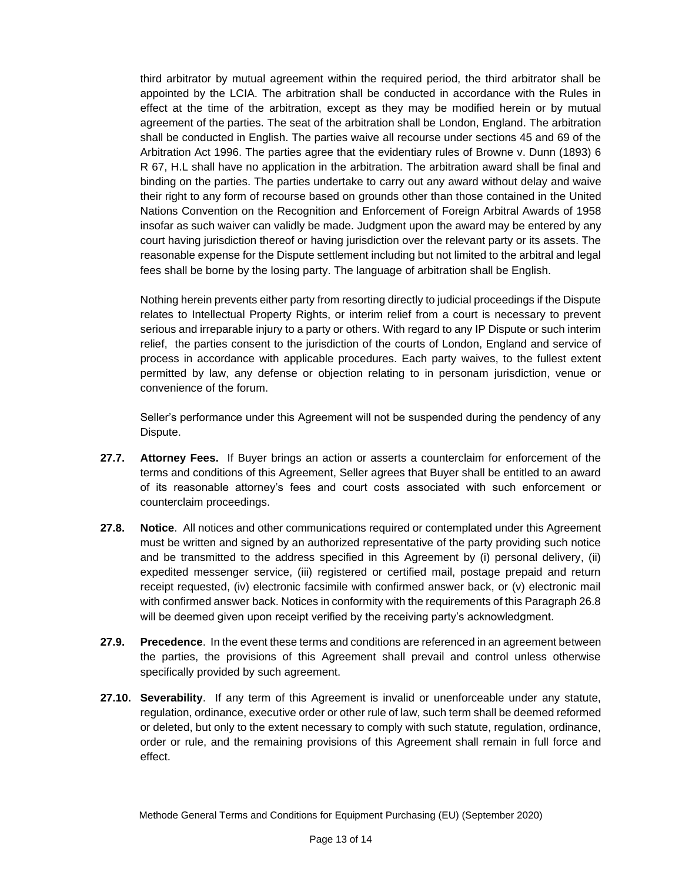third arbitrator by mutual agreement within the required period, the third arbitrator shall be appointed by the LCIA. The arbitration shall be conducted in accordance with the Rules in effect at the time of the arbitration, except as they may be modified herein or by mutual agreement of the parties. The seat of the arbitration shall be London, England. The arbitration shall be conducted in English. The parties waive all recourse under sections 45 and 69 of the Arbitration Act 1996. The parties agree that the evidentiary rules of Browne v. Dunn (1893) 6 R 67, H.L shall have no application in the arbitration. The arbitration award shall be final and binding on the parties. The parties undertake to carry out any award without delay and waive their right to any form of recourse based on grounds other than those contained in the United Nations Convention on the Recognition and Enforcement of Foreign Arbitral Awards of 1958 insofar as such waiver can validly be made. Judgment upon the award may be entered by any court having jurisdiction thereof or having jurisdiction over the relevant party or its assets. The reasonable expense for the Dispute settlement including but not limited to the arbitral and legal fees shall be borne by the losing party. The language of arbitration shall be English.

Nothing herein prevents either party from resorting directly to judicial proceedings if the Dispute relates to Intellectual Property Rights, or interim relief from a court is necessary to prevent serious and irreparable injury to a party or others. With regard to any IP Dispute or such interim relief, the parties consent to the jurisdiction of the courts of London, England and service of process in accordance with applicable procedures. Each party waives, to the fullest extent permitted by law, any defense or objection relating to in personam jurisdiction, venue or convenience of the forum.

Seller's performance under this Agreement will not be suspended during the pendency of any Dispute.

- **27.7. Attorney Fees.** If Buyer brings an action or asserts a counterclaim for enforcement of the terms and conditions of this Agreement, Seller agrees that Buyer shall be entitled to an award of its reasonable attorney's fees and court costs associated with such enforcement or counterclaim proceedings.
- **27.8. Notice**. All notices and other communications required or contemplated under this Agreement must be written and signed by an authorized representative of the party providing such notice and be transmitted to the address specified in this Agreement by (i) personal delivery, (ii) expedited messenger service, (iii) registered or certified mail, postage prepaid and return receipt requested, (iv) electronic facsimile with confirmed answer back, or (v) electronic mail with confirmed answer back. Notices in conformity with the requirements of this Paragraph 26.8 will be deemed given upon receipt verified by the receiving party's acknowledgment.
- **27.9. Precedence**. In the event these terms and conditions are referenced in an agreement between the parties, the provisions of this Agreement shall prevail and control unless otherwise specifically provided by such agreement.
- **27.10. Severability**. If any term of this Agreement is invalid or unenforceable under any statute, regulation, ordinance, executive order or other rule of law, such term shall be deemed reformed or deleted, but only to the extent necessary to comply with such statute, regulation, ordinance, order or rule, and the remaining provisions of this Agreement shall remain in full force and effect.